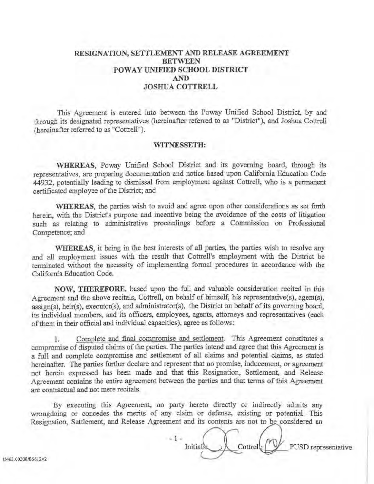## RESIGNATION, SETTLEMENT AND RELEASE AGREEMENT BETWEEN POWAY UNIFIED SCHOOL DISTRICT AND JOSHUA COTTRELL

This Agreement is entered into between the Poway Unified School District, by and through its designated representatives (hereinafter referred to as "District"), and Joshua Cottrell (hereinafter referred to as "Cottrell").

## WITNESSETH:

WHEREAS, Poway Unified School District and its governing board, through its representatives, are preparing documentation and notice based upon California Education Code 44932, potentially leading to dismissal from employment against Cottrell, who is a permanent certificated employee of the District; and

WHEREAS, the parties wish to avoid and agree upon other considerations as set forth herein, with the District's purpose and incentive being the avoidance of the costs of litigation such as relating to administrative proceedings before a Commission on Professional Competence; and

WHEREAS, it being in the best interests of all parties, the parties wish to resolve any and all employment issues with the result that Cottrell's employment with the District be terminated without the necessity of implementing formal procedures in accordance with the California Education Code.

NOW, THEREFORE, based upon the full and valuable consideration recited in this Agreement and the above recitals, Cottrell, on behalf of himself, his representative(s), agent(s),  $assign(s)$ , heir(s), executor(s), and administrator(s), the District on behalf of its governing board, its individual members, and its officers, employees, agents, attorneys and representatives (each of them in their official and individual capacities), agree as follows:

1. Complete and final compromise and settlement. This Agreement constitutes a compromise of disputed claims of the parties. The parties intend and agree that this Agreement is a full and complete compromise and settlement of all claims and potential claims, as stated hereinafter. The parties further declare and represent that no promise, inducement, or agreement not berein expressed bas been made and that this Resignation, Settlement, and Release Agreement contains the entire agreement between the parties and that terms of this Agreement are contractual and not mere recitals.

By executing this Agreement, no party hereto directly or indirectly admits any wrongdoing or concedes the merits of any claim or defense, existing or potential. This Resignation, Settlement, and Release Agreement and its contents are not to be considered an

 $-1-$ Initial  $\setminus$   $\setminus$  Cottrell  $\setminus$   $\setminus$  PUSD representative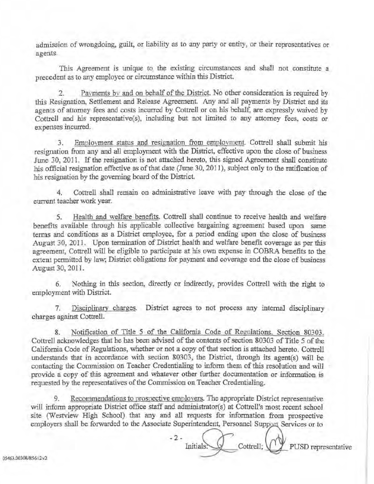admission of wrongdoing, guilt, or liability as to any party or entity, or their representatives or agents.

This Agreement is unique to the existing circumstances and shall not constitute a precedent as to any employee or circumstance within this District.

2. Payments by and on behalf of the District. No other consideration is required by this Resignation, Settlement and Release Agreement. Any and all payments by District and its agents of attorney fees and costs incurred by Cottrell or on his behalf, are expressly waived by *Cottrell* and his representative(s), including but not limited to any attomey fees, costs or expenses incurred.

3. Employment status and resignation from employment. Cottrell shall submit his resignation from any and all employment with the District, effective upon the close of business June 30, 2011. If the resignation is not attached hereto, this signed Agreement shall constitute his official resignation effective as of that date (June 30, 2011), subject only to the ratification of his resignation by the governing board of the District.

4. Cottrell shall remain on administrative leave with pay through the close of the current teacher work year.

5. Health and welfare benefits. Cottrell shall continue to receive health and welfare benefits available through his applicable collective bargaining agreement based upon same terms and conditions as a District employee, for a period ending upon the close of business August 30, 2011. Upon termination of District health and welfare benefit coverage as per this agreement, Cottrell will be eligible to participate at his own expense in COBRA benefits to the extent permitted by law; District obligations for payment and coverage end the close of business August 30, 2011.

6. Nothing in this section, directly or indirectly, provides Cottrell with the right to employment with District

7. Disciplinary charges. District agrees to not process any internal disciplinary charges against Cottrell.

8. Notification of Title 5 of the California Code of ReeuJations. Section 80303. Cottrell acknowledges that he has been advised of the contents of section 80303 of Title *5* of the California Code of Regulations, whether or not a copy of that section is attached hereto. Cottrell understands that in accordance with section 80303, the District, through *its* agent(s) will be contacting the Commission on Teacher Credentialing to inform them of this resolution and will provide a copy of this agreement and whatever other further documentation or information is requested by the representatives of the Commission on Teacher Credentialing.

9. Recommendations to prospective emplovers. The appropriate District representative will inform appropriate District office staff and administrator(s) at Cottrell's most recent school site (Westview High School) that any and all requests for information from prospective employers shall be forwarded to the Associate Superintendent, Personnel Support Services or to

 $-2 Initials: \qquad \qquad$  Cottrell;  $\qquad \qquad$  PUSD representative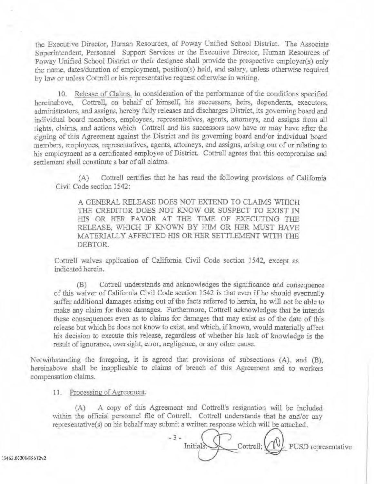the Executive Director, Human Resources, of Poway Unified School District. The Associate Superintendent, Personnel Support Services or the Executive Director, Hwnan Resources of Poway Unified School District or their designee shall provide the prospective employer(s) only the name, dates/duration of employment, position(s) held, and salary. unless otherwise required by law or unless Cottrell or his representative request otherwise in writing.

10. Release of Claims. In consideration of the performance of the conditions specified hereinabove, Cottrell, on behalf of himself, his successors, heirs, dependents, executors, administrators, and assigns, hereby fully releases and discharges District, *its* governing board and individual board members, employees, representatives, agents, attorneys, and assigns from all rights, claims, and actions which Cottrell and his successors now have or may have after the signing of this Agreement against the District and its governing board and/or individual board members, employees, representatives, agents, attorneys, and assigns, arising out of or relating to his employment as a certificated employee of District. Cottrell agrees that tbis compromise and settlement shall constitute a bar of all claims.

(A) Cottrell certifies that he has read the following provisions of California Civil Code section 1542:

A GENERAL RELEASE DOES NOT EXTEND TO CLAIMS WHICH THE CREDITOR DOES NOT KNOW OR SUSPECT TO EXIST IN HIS OR HER FAVOR AT THE TIME OF EXECUTING THE RELEASE, WHICH IF KNOWN BY HIM OR HER MUST HAVE MATERIALLY AFFECTED HIS OR HER SETTLEMENT WITH THE DEBTOR.

Cottrell waives application of California Civil Code section 1542, except as indicated herein.

(B) Cottrell understands and acknowledges the significance and consequence of this waiver of California Civil Code section 1542 is that even if be should eventually suffer additional damages arising out of the facts referred to herein, he will not be able to make any claim for those damages. Furthermore, Cottrell acknowledges that he intends these consequences even as to claims for damages that may exist as of the date of *this*  release but which be does not know to exist, and which, if known, would materially affect his decision to execute this release, regardless of whether his lack of knowledge is the result of ignorance, oversight, error, negligence, or any other cause.

Notwithstanding the foregoing, it is agreed that provisions of subsections (A), and (B), hereinabove shall be inapplicable to claims of breach of this Agreement and to workers compensation claims.

11. Processing of Agreement.

(A) A copy of this Agreement and Cottrell's resignation vvill be included within the official personnel file of Cottrell. Cottrell understands that he and/or any representative(s) on his behalf may submit a written response which will be attached.

 $-3-$ Initials. Cottrell;  $\bigvee \bigvee$  PUSD representative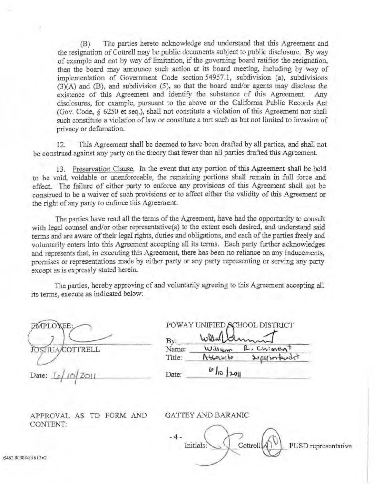(B) The parties hereto acknowledge and understand that this Agreement and the resignation of Cottrell may be public documents subject to public disclosure. By way of examp]e and not by way of limitation, if the governing board ratifies the resignation, then the board may announce such action at its board meeting, including by way of implementation of Government Code section 54957.1, subdivision (a), subdivisions (3)(A) and (B), and subdivision (5), so that the board and/or agents may disclose the existence of this Agreement and identify the substance of this Agreement. Any disclosures, for example, pursuant to the above or the California Public Records Act (Gov. Code, *§* 6250 et seq.). shall not constitute a violation of this Agreement nor shall such constitute a violation of law or constitute a tort such as but not limited to invasion of privacy or defamation.

12. This Agreement shall be deemed to have been drafted by all parties, and shall not be construed against any party on the theory that fewer than all parties drafted this Agreement.

13. Preservation Clause. In the event that any portjon of this Agreement shall be held to be void, voidable or unenforceable, the remaining portions shall remain in full force and effect. The failure of either party to enforce any provisions of this Agreement shall not be construed to be a waiver of such provisions or to affect either the validity of this Agreement or the right of any party to enforce this Agreement.

The patties have read all the terms of the Agreement, have bad the opportunity to consult with legal counsel and/or other representative(s) to the extent each desired, and understand said terms and are aware of their legal rights, duties and obligations, and each of the parties freely and volnntarily enters into this Agreement accepting aU its terms. Each party further acknowledges and represents that, in executing this Agreement, there bas been no reliance on any inducements, promises or representations made by either party or any party representing or serving any party except as is expressly stated herein.

The parties, hereby approving of and voluntarily agreeing to *this* Agreement accepting all its terms, execute *as* indicated below:

 $\sum_{i=1}^{n}$ JOSHUA/COTTRELL

Date: *<u>1</u>* 

| William | , Chimen      |
|---------|---------------|
| Asserte | superintendit |
|         | Wantchmin     |

APPROVAL AS TO FORM AND CONTENT:

GATTEY AND BARANIC

-4- Cottrell $\left\langle \bigcap_{n=1}^{\infty} V_n \right\rangle$  PUSD representative Initials: